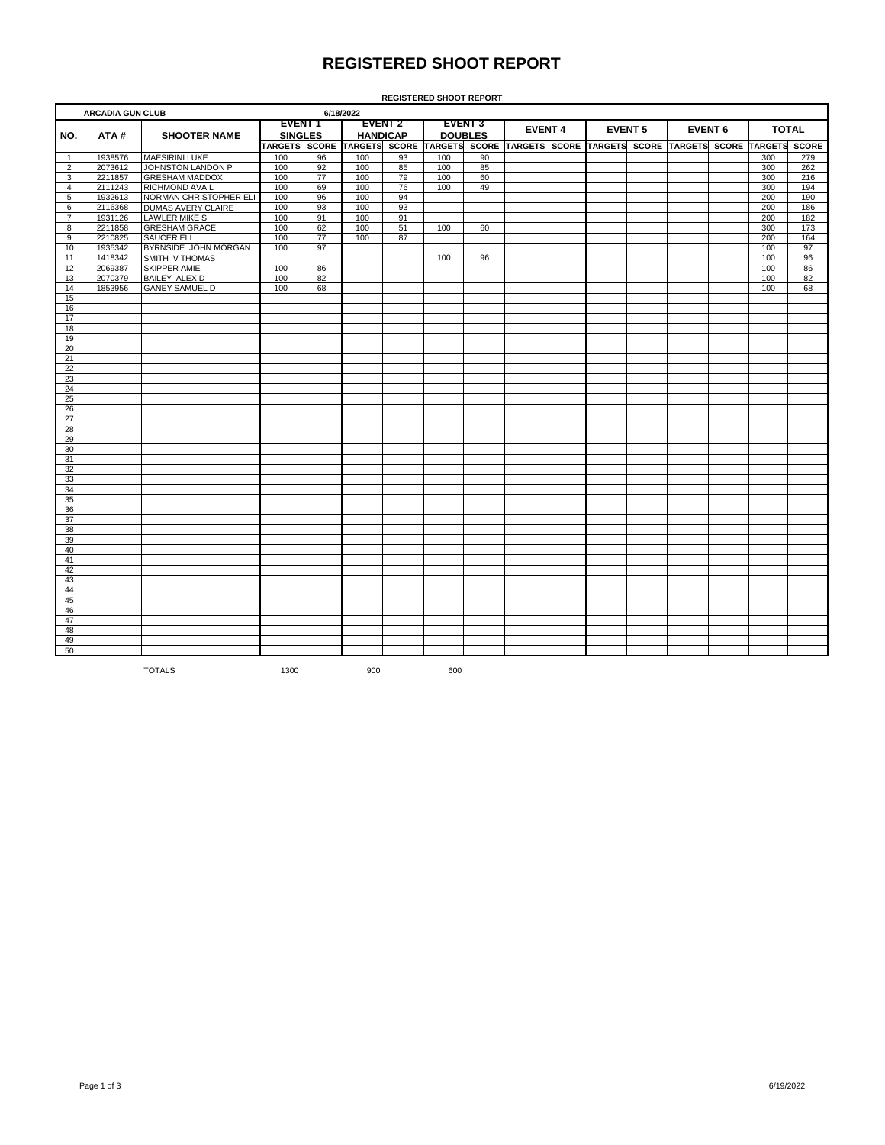## **REGISTERED SHOOT REPORT**

|                      | <b>ARCADIA GUN CLUB</b> |                           |                                 |              | 6/18/2022                         |              |                                  |              |                |              |                |              |                |                      |              |
|----------------------|-------------------------|---------------------------|---------------------------------|--------------|-----------------------------------|--------------|----------------------------------|--------------|----------------|--------------|----------------|--------------|----------------|----------------------|--------------|
| NO.                  | ATA#                    | <b>SHOOTER NAME</b>       | <b>EVENT1</b><br><b>SINGLES</b> |              | <b>EVENT 2</b><br><b>HANDICAP</b> |              | <b>EVENT 3</b><br><b>DOUBLES</b> |              | <b>EVENT 4</b> |              | <b>EVENT 5</b> |              | <b>EVENT 6</b> | <b>TOTAL</b>         |              |
|                      |                         |                           | <b>TARGETS</b>                  | <b>SCORE</b> | <b>TARGETS</b>                    | <b>SCORE</b> | <b>TARGETS</b>                   | <b>SCORE</b> | <b>TARGETS</b> | <b>SCORE</b> | <b>TARGETS</b> | <b>SCORE</b> | <b>TARGETS</b> | <b>SCORE TARGETS</b> | <b>SCORE</b> |
|                      | 1938576                 | <b>MAESIRINI LUKE</b>     | 100                             | 96           | 100                               | 93           | 100                              | 90           |                |              |                |              |                | 300                  | 279          |
|                      | 2073612                 | JOHNSTON LANDON P         | 100                             | 92           | 100                               | 85           | 100                              | 85           |                |              |                |              |                | 300                  | 262          |
| 3                    | 2211857                 | <b>GRESHAM MADDOX</b>     | 100                             | 77           | 100                               | 79           | 100                              | 60           |                |              |                |              |                | 300                  | 216          |
| 4                    | 2111243                 | <b>RICHMOND AVA L</b>     | 100                             | 69           | 100                               | 76           | 100                              | 49           |                |              |                |              |                | 300                  | 194          |
| 5                    | 1932613                 | NORMAN CHRISTOPHER ELI    | 100                             | 96           | 100                               | 94           |                                  |              |                |              |                |              |                | 200                  | 190          |
| 6                    | 2116368                 | <b>DUMAS AVERY CLAIRE</b> | 100                             | 93           | 100                               | 93           |                                  |              |                |              |                |              |                | 200                  | 186          |
|                      | 1931126                 | <b>LAWLER MIKE S</b>      | 100                             | 91           | 100                               | 91           |                                  |              |                |              |                |              |                | 200                  | 182          |
| 8                    | 2211858                 | <b>GRESHAM GRACE</b>      | 100                             | 62           | 100                               | 51           | 100                              | 60           |                |              |                |              |                | 300                  | 173          |
| 9                    | 2210825                 | <b>SAUCER ELI</b>         | 100                             | 77           | 100                               | 87           |                                  |              |                |              |                |              |                | 200                  | 164          |
| 10                   | 1935342                 | BYRNSIDE JOHN MORGAN      | 100                             | 97           |                                   |              |                                  |              |                |              |                |              |                | 100                  | 97           |
|                      | 1418342                 | <b>SMITH IV THOMAS</b>    |                                 |              |                                   |              | 100                              | 96           |                |              |                |              |                | 100                  | 96           |
| 12                   | 2069387                 | <b>SKIPPER AMIE</b>       | 100                             | 86           |                                   |              |                                  |              |                |              |                |              |                | 100                  | 86           |
| 13                   | 2070379                 | BAILEY ALEX D             | 100                             | 82           |                                   |              |                                  |              |                |              |                |              |                | 100                  | 82           |
| $\sim$ $\sim$ $\sim$ |                         |                           | $\sim$ $\sim$ $\sim$            | $ -$         |                                   |              |                                  |              |                |              |                |              |                | $\sim$ $\sim$ $\sim$ |              |

**REGISTERED SHOOT REPORT**

**ARCADIA GUN CLUB**

| $\mathbf{1}$   | 1938576 | <b>MAESIRINI LUKE</b>     | 100  | 96              | 100 | 93 | 100 | 90 |  |  |  | 300 | 279 |
|----------------|---------|---------------------------|------|-----------------|-----|----|-----|----|--|--|--|-----|-----|
| $\overline{2}$ | 2073612 | JOHNSTON LANDON P         | 100  | 92              | 100 | 85 | 100 | 85 |  |  |  | 300 | 262 |
| 3              | 2211857 | <b>GRESHAM MADDOX</b>     | 100  | $\overline{77}$ | 100 | 79 | 100 | 60 |  |  |  | 300 | 216 |
| $\overline{4}$ | 2111243 | <b>RICHMOND AVA L</b>     | 100  | 69              | 100 | 76 | 100 | 49 |  |  |  | 300 | 194 |
| $\overline{5}$ | 1932613 | NORMAN CHRISTOPHER ELI    | 100  | 96              | 100 | 94 |     |    |  |  |  | 200 | 190 |
| 6              | 2116368 | <b>DUMAS AVERY CLAIRE</b> | 100  | 93              | 100 | 93 |     |    |  |  |  | 200 | 186 |
| $\overline{7}$ | 1931126 | <b>LAWLER MIKE S</b>      | 100  | 91              | 100 | 91 |     |    |  |  |  | 200 | 182 |
| 8              | 2211858 | <b>GRESHAM GRACE</b>      | 100  | 62              | 100 | 51 | 100 | 60 |  |  |  | 300 | 173 |
| 9              | 2210825 | SAUCER ELI                | 100  | 77              | 100 | 87 |     |    |  |  |  | 200 | 164 |
| 10             | 1935342 | BYRNSIDE JOHN MORGAN      | 100  | 97              |     |    |     |    |  |  |  | 100 | 97  |
|                | 1418342 | <b>SMITH IV THOMAS</b>    |      |                 |     |    | 100 | 96 |  |  |  | 100 | 96  |
| 11<br>12       | 2069387 | <b>SKIPPER AMIE</b>       | 100  |                 |     |    |     |    |  |  |  | 100 | 86  |
|                |         |                           |      | 86<br>82        |     |    |     |    |  |  |  | 100 | 82  |
| 13             | 2070379 | <b>BAILEY ALEX D</b>      | 100  |                 |     |    |     |    |  |  |  |     |     |
| 14             | 1853956 | <b>GANEY SAMUEL D</b>     | 100  | 68              |     |    |     |    |  |  |  | 100 | 68  |
| 15             |         |                           |      |                 |     |    |     |    |  |  |  |     |     |
| 16             |         |                           |      |                 |     |    |     |    |  |  |  |     |     |
| 17             |         |                           |      |                 |     |    |     |    |  |  |  |     |     |
| 18             |         |                           |      |                 |     |    |     |    |  |  |  |     |     |
| 19             |         |                           |      |                 |     |    |     |    |  |  |  |     |     |
| 20             |         |                           |      |                 |     |    |     |    |  |  |  |     |     |
| 21             |         |                           |      |                 |     |    |     |    |  |  |  |     |     |
| 22             |         |                           |      |                 |     |    |     |    |  |  |  |     |     |
| 23             |         |                           |      |                 |     |    |     |    |  |  |  |     |     |
| 24             |         |                           |      |                 |     |    |     |    |  |  |  |     |     |
| 25             |         |                           |      |                 |     |    |     |    |  |  |  |     |     |
| 26             |         |                           |      |                 |     |    |     |    |  |  |  |     |     |
| 27             |         |                           |      |                 |     |    |     |    |  |  |  |     |     |
| 28             |         |                           |      |                 |     |    |     |    |  |  |  |     |     |
| 29             |         |                           |      |                 |     |    |     |    |  |  |  |     |     |
| 30             |         |                           |      |                 |     |    |     |    |  |  |  |     |     |
| 31             |         |                           |      |                 |     |    |     |    |  |  |  |     |     |
| 32             |         |                           |      |                 |     |    |     |    |  |  |  |     |     |
| 33             |         |                           |      |                 |     |    |     |    |  |  |  |     |     |
| 34             |         |                           |      |                 |     |    |     |    |  |  |  |     |     |
| 35             |         |                           |      |                 |     |    |     |    |  |  |  |     |     |
| 36             |         |                           |      |                 |     |    |     |    |  |  |  |     |     |
| 37             |         |                           |      |                 |     |    |     |    |  |  |  |     |     |
|                |         |                           |      |                 |     |    |     |    |  |  |  |     |     |
| 38<br>39       |         |                           |      |                 |     |    |     |    |  |  |  |     |     |
|                |         |                           |      |                 |     |    |     |    |  |  |  |     |     |
| 40             |         |                           |      |                 |     |    |     |    |  |  |  |     |     |
| 41             |         |                           |      |                 |     |    |     |    |  |  |  |     |     |
| 42             |         |                           |      |                 |     |    |     |    |  |  |  |     |     |
| 43             |         |                           |      |                 |     |    |     |    |  |  |  |     |     |
| 44             |         |                           |      |                 |     |    |     |    |  |  |  |     |     |
| 45             |         |                           |      |                 |     |    |     |    |  |  |  |     |     |
| 46             |         |                           |      |                 |     |    |     |    |  |  |  |     |     |
| 47             |         |                           |      |                 |     |    |     |    |  |  |  |     |     |
| 48             |         |                           |      |                 |     |    |     |    |  |  |  |     |     |
| 49             |         |                           |      |                 |     |    |     |    |  |  |  |     |     |
| 50             |         |                           |      |                 |     |    |     |    |  |  |  |     |     |
|                |         | <b>TOTALS</b>             | 1300 |                 | 900 |    | 600 |    |  |  |  |     |     |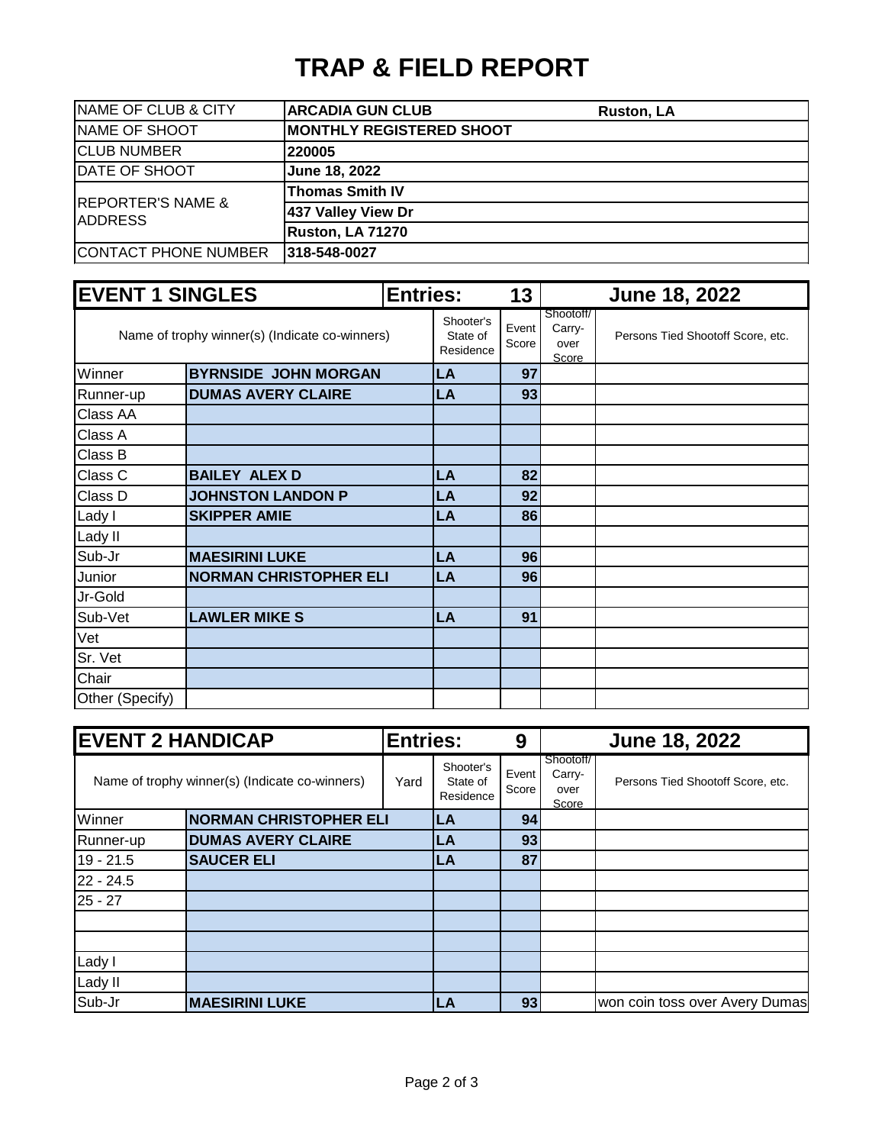## **TRAP & FIELD REPORT**

| <b>NAME OF CLUB &amp; CITY</b> | <b>ARCADIA GUN CLUB</b>         | Ruston, LA |
|--------------------------------|---------------------------------|------------|
| <b>NAME OF SHOOT</b>           | <b>MONTHLY REGISTERED SHOOT</b> |            |
| <b>CLUB NUMBER</b>             | 220005                          |            |
| DATE OF SHOOT                  | June 18, 2022                   |            |
| <b>REPORTER'S NAME &amp;</b>   | <b>Thomas Smith IV</b>          |            |
| <b>IADDRESS</b>                | 437 Valley View Dr              |            |
|                                | Ruston, LA 71270                |            |
| <b>CONTACT PHONE NUMBER</b>    | 318-548-0027                    |            |

| <b>EVENT 1 SINGLES</b> |                                                |  | <b>Entries:</b>                    | 13              | June 18, 2022                        |                                   |  |  |
|------------------------|------------------------------------------------|--|------------------------------------|-----------------|--------------------------------------|-----------------------------------|--|--|
|                        | Name of trophy winner(s) (Indicate co-winners) |  | Shooter's<br>State of<br>Residence | Event<br>Score  | Shootoff/<br>Carry-<br>over<br>Score | Persons Tied Shootoff Score, etc. |  |  |
| Winner                 | <b>BYRNSIDE JOHN MORGAN</b>                    |  | LA                                 | 97              |                                      |                                   |  |  |
| Runner-up              | <b>DUMAS AVERY CLAIRE</b>                      |  | LA                                 | 93              |                                      |                                   |  |  |
| Class AA               |                                                |  |                                    |                 |                                      |                                   |  |  |
| Class A                |                                                |  |                                    |                 |                                      |                                   |  |  |
| Class B                |                                                |  |                                    |                 |                                      |                                   |  |  |
| Class C                | <b>BAILEY ALEX D</b>                           |  | LA                                 | 82              |                                      |                                   |  |  |
| Class D                | <b>JOHNSTON LANDON P</b>                       |  | LA                                 | 92              |                                      |                                   |  |  |
| Lady I                 | <b>SKIPPER AMIE</b>                            |  | LA                                 | 86              |                                      |                                   |  |  |
| Lady II                |                                                |  |                                    |                 |                                      |                                   |  |  |
| Sub-Jr                 | <b>MAESIRINI LUKE</b>                          |  | LA                                 | 96 <sub>l</sub> |                                      |                                   |  |  |
| Junior                 | <b>NORMAN CHRISTOPHER ELI</b>                  |  | LA                                 | 96              |                                      |                                   |  |  |
| Jr-Gold                |                                                |  |                                    |                 |                                      |                                   |  |  |
| Sub-Vet                | <b>LAWLER MIKES</b>                            |  | LA                                 | 91              |                                      |                                   |  |  |
| Vet                    |                                                |  |                                    |                 |                                      |                                   |  |  |
| Sr. Vet                |                                                |  |                                    |                 |                                      |                                   |  |  |
| Chair                  |                                                |  |                                    |                 |                                      |                                   |  |  |
| Other (Specify)        |                                                |  |                                    |                 |                                      |                                   |  |  |

| <b>EVENT 2 HANDICAP</b> |                                                | <b>Entries:</b> |                                    | 9              |                                      | <b>June 18, 2022</b>              |
|-------------------------|------------------------------------------------|-----------------|------------------------------------|----------------|--------------------------------------|-----------------------------------|
|                         | Name of trophy winner(s) (Indicate co-winners) | Yard            | Shooter's<br>State of<br>Residence | Event<br>Score | Shootoff/<br>Carry-<br>over<br>Score | Persons Tied Shootoff Score, etc. |
| Winner                  | <b>NORMAN CHRISTOPHER ELI</b>                  |                 | LA                                 | 94             |                                      |                                   |
| Runner-up               | <b>DUMAS AVERY CLAIRE</b>                      |                 | LA                                 | 93             |                                      |                                   |
| $19 - 21.5$             | <b>SAUCER ELI</b>                              |                 | LA                                 | 87             |                                      |                                   |
| $22 - 24.5$             |                                                |                 |                                    |                |                                      |                                   |
| $25 - 27$               |                                                |                 |                                    |                |                                      |                                   |
|                         |                                                |                 |                                    |                |                                      |                                   |
|                         |                                                |                 |                                    |                |                                      |                                   |
| Lady I                  |                                                |                 |                                    |                |                                      |                                   |
| Lady II                 |                                                |                 |                                    |                |                                      |                                   |
| Sub-Jr                  | <b>MAESIRINI LUKE</b>                          |                 | LA                                 | 93             |                                      | won coin toss over Avery Dumas    |